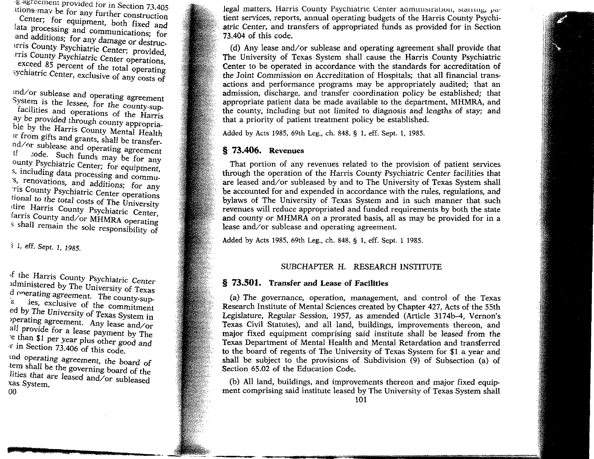g agreement provided for in Section 73.405 Uions may be for any further construction

Center; for equipment, both fixed and lata processing and communications; for and additions; for any damage or destructrris County Psychiatric Center; provided, rris County Psychiatric Center operations, exceed 85 percent of the total operating sychiatric Center, exclusive of any costs of

md/or sublease and operating agreement System is the lessee, for the county-supfacilities and operations of the Harris ay be provided through county appropriable by the Harris County Mental Health >r from gifts and grants, shall be transfernd/or sublease and operating agreement tode. Such funds may be for any ounty Psychiatric Center; for equipment, s, including data processing and commu s, renovations, and additions; for any ris County Psychiatric Center operations tional to the total costs of The University itire Harris County Psychiatric Center, farris County and/or MHMRA operating s shall remain the sole responsibility of

? 1, eff. Sept. 1, 1985.

>f the Harris County Psychiatric Center idministered by The University of Texas  $\frac{d}{dx}$  onerating agreement. The county-supies, exclusive of the commitment ed by The University of Texas System in operating agreement. Any lease and/or all provide for a lease payment by The e than \$1 per year plus other good and >r in Section 73.406 of this code,

md operating agreement, the board of tern shall be the governing board of the lities that are leased and/or subleased xas System. 00

legal matters, Harris County Psychiatric Center aaministration, stannig,  $\mu$ atient services, reports, annual operating budgets of the Harris County Psychiatric Center, and transfers of appropriated funds as provided for in Section 73.404 of this code.

(d) Any lease and/or sublease and operating agreement shall provide that The University of Texas System shall cause the Harris County Psychiatric Center to be operated in accordance with the standards for accreditation of the Joint Commission on Accreditation of Hospitals; that all financial transactions and performance programs may be appropriately audited; that an admission, discharge, and transfer coordination policy be established; that appropriate patient data be made available to the department, MHMRA, and the county, including but not limited to diagnosis and lengths of stay; and that a priority of patient treatment policy be established.

Added by Acts 1985, 69th Leg., ch. 848, § 1, eff. Sept. 1, 1985.

## § 73.406. Revenues

That portion of any revenues related to the provision of patient services through the operation of the Harris County Psychiatric Center facilities that are leased and/or subleased by and to The University of Texas System shall be accounted for and expended in accordance with the rules, regulations, and bylaws of The University of Texas System and in such manner that such revenues will reduce appropriated and funded requirements by both the state and county or MHMRA on a prorated basis, all as may be provided for in a lease and/or sublease and operating agreement.

Added by Acts 1985, 69th Leg., ch. 848, § 1, eff. Sept. 1 1985.

■r-imimM""

# SUBCHAPTER H. RESEARCH INSTITUTE

## § 73.501. Transfer and Lease of Facilities

(a) The governance, operation, management, and control of the Texas Research Institute of Mental Sciences created by Chapter 427, Acts of the 55th Legislature, Regular Session, 1957, as amended (Article 3174b-4, Vernon's Texas Civil Statutes), and all land, buildings, improvements thereon, and major fixed equipment comprising said institute shall be leased from the Texas Department of Mental Health and Mental Retardation and transferred to the board of regents of The University of Texas System for \$1 a year and shall be subject to the provisions of Subdivision (9) of Subsection (a) of Section 65.02 of the Education Code.

(b) All land, buildings, and improvements thereon and major fixed equipment comprising said institute leased by The University of Texas System shall